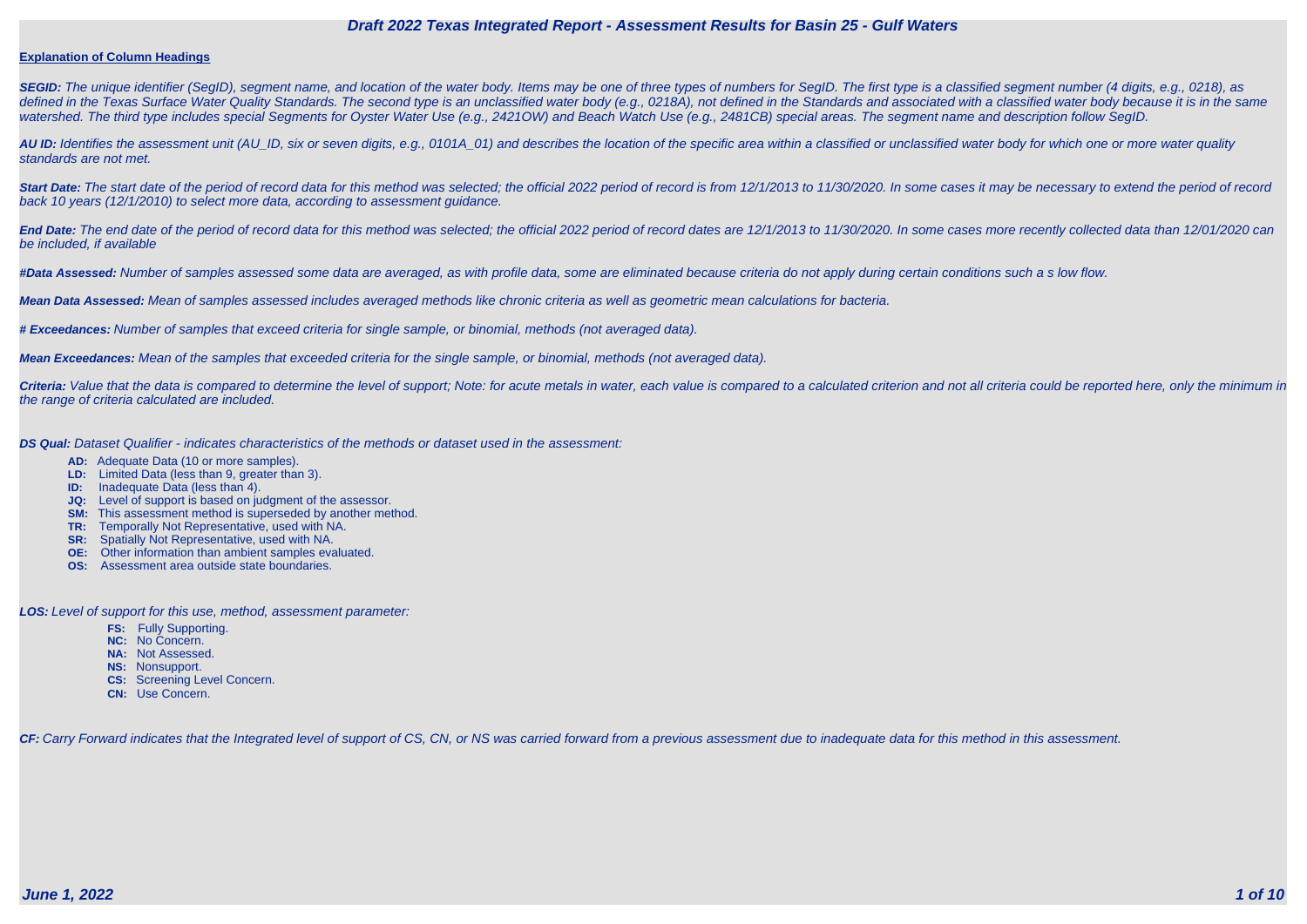#### **Explanation of Column Headings**

**SEGID:** The unique identifier (SegID), segment name, and location of the water body. Items may be one of three types of numbers for SegID. The first type is a classified segment number (4 digits, e.g., 0218), as defined in the Texas Surface Water Quality Standards. The second type is an unclassified water body (e.g., 0218A), not defined in the Standards and associated with a classified water body because it is in the same watershed. The third type includes special Segments for Oyster Water Use (e.g., 2421OW) and Beach Watch Use (e.g., 2481CB) special areas. The segment name and description follow SegID.

**AU ID:** Identifies the assessment unit (AU\_ID, six or seven digits, e.g., 0101A\_01) and describes the location of the specific area within a classified or unclassified water body for which one or more water quality standards are not met.

Start Date: The start date of the period of record data for this method was selected; the official 2022 period of record is from 12/1/2013 to 11/30/2020. In some cases it may be necessary to extend the period of record back 10 years (12/1/2010) to select more data, according to assessment guidance.

End Date: The end date of the period of record data for this method was selected; the official 2022 period of record dates are 12/1/2013 to 11/30/2020. In some cases more recently collected data than 12/01/2020 can be included, if available

Criteria: Value that the data is compared to determine the level of support; Note: for acute metals in water, each value is compared to a calculated criterion and not all criteria could be reported here, only the minimum i the range of criteria calculated are included.

**#Data Assessed:** Number of samples assessed some data are averaged, as with profile data, some are eliminated because criteria do not apply during certain conditions such a s low flow.

**Mean Data Assessed:** Mean of samples assessed includes averaged methods like chronic criteria as well as geometric mean calculations for bacteria.

**# Exceedances:** Number of samples that exceed criteria for single sample, or binomial, methods (not averaged data).

**Mean Exceedances:** Mean of the samples that exceeded criteria for the single sample, or binomial, methods (not averaged data).

**DS Qual:** Dataset Qualifier - indicates characteristics of the methods or dataset used in the assessment:

- **AD:** Adequate Data (10 or more samples).
- **LD:** Limited Data (less than 9, greater than 3).
- **ID:** Inadequate Data (less than 4).
- **JQ:** Level of support is based on judgment of the assessor.
- **SM:** This assessment method is superseded by another method.
- **TR:** Temporally Not Representative, used with NA.
- **SR:** Spatially Not Representative, used with NA.
- **OE:** Other information than ambient samples evaluated.
- **OS:** Assessment area outside state boundaries.

**LOS:** Level of support for this use, method, assessment parameter:

- **FS:** Fully Supporting.
- **NC:** No Concern.
- **NA:** Not Assessed.
- **NS:** Nonsupport.
- **CS:** Screening Level Concern.
- **CN:** Use Concern.

CF: Carry Forward indicates that the Integrated level of support of CS, CN, or NS was carried forward from a previous assessment due to inadequate data for this method in this assessment.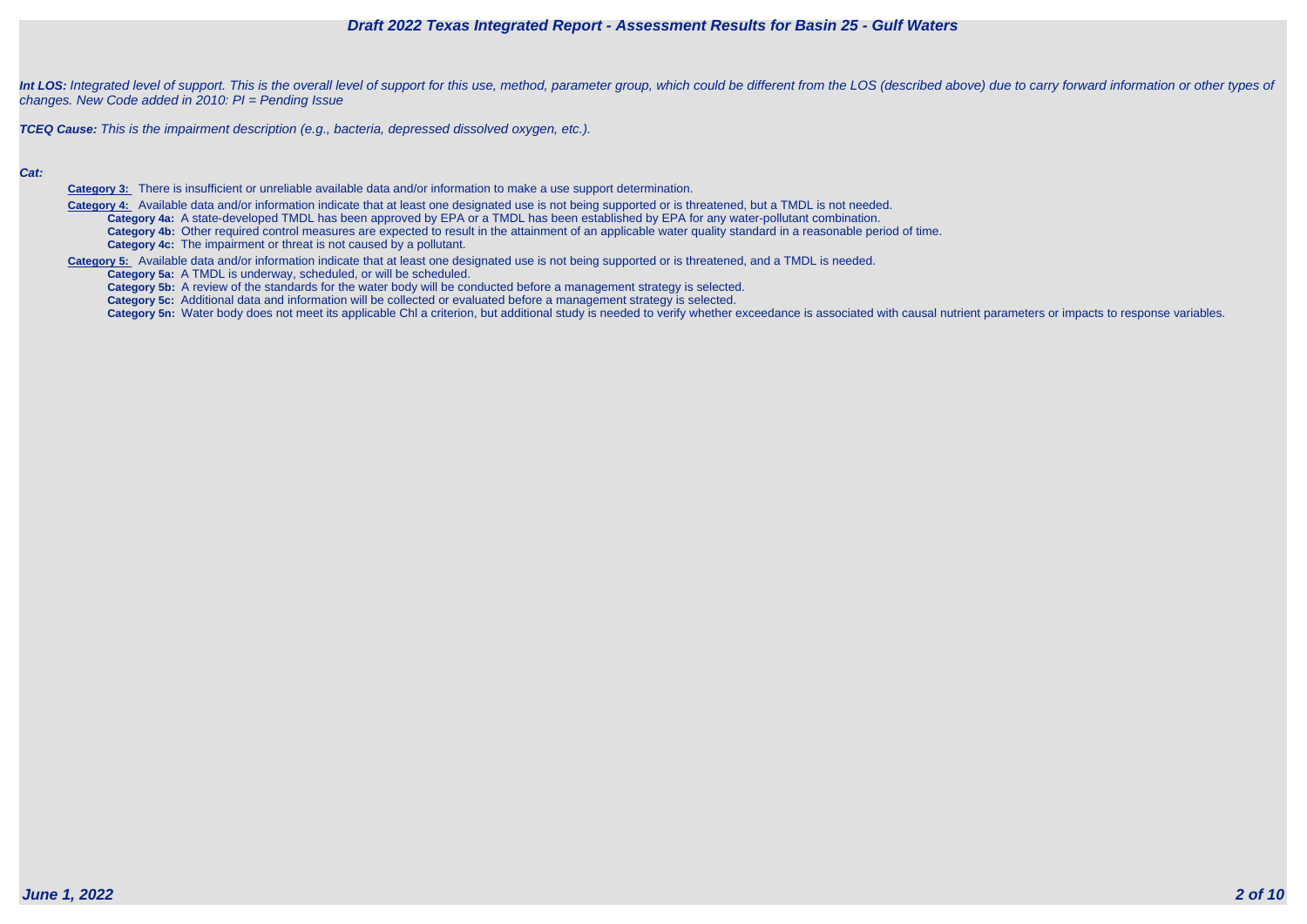Int LOS: Integrated level of support. This is the overall level of support for this use, method, parameter group, which could be different from the LOS (described above) due to carry forward information or other types of changes. New Code added in 2010: PI = Pending Issue

**TCEQ Cause:** This is the impairment description (e.g., bacteria, depressed dissolved oxygen, etc.).

#### **Cat:**

**Category 3:** There is insufficient or unreliable available data and/or information to make a use support determination.

 **Category 4:** Available data and/or information indicate that at least one designated use is not being supported or is threatened, but a TMDL is not needed. **Category 4a:** A state-developed TMDL has been approved by EPA or a TMDL has been established by EPA for any water-pollutant combination. **Category 4b:** Other required control measures are expected to result in the attainment of an applicable water quality standard in a reasonable period of time. **Category 4c:** The impairment or threat is not caused by a pollutant.

**Category 5:** Available data and/or information indicate that at least one designated use is not being supported or is threatened, and a TMDL is needed.

**Category 5a:** A TMDL is underway, scheduled, or will be scheduled.

**Category 5b:** A review of the standards for the water body will be conducted before a management strategy is selected.

**Category 5c:** Additional data and information will be collected or evaluated before a management strategy is selected.

Category 5n: Water body does not meet its applicable Chl a criterion, but additional study is needed to verify whether exceedance is associated with causal nutrient parameters or impacts to response variables.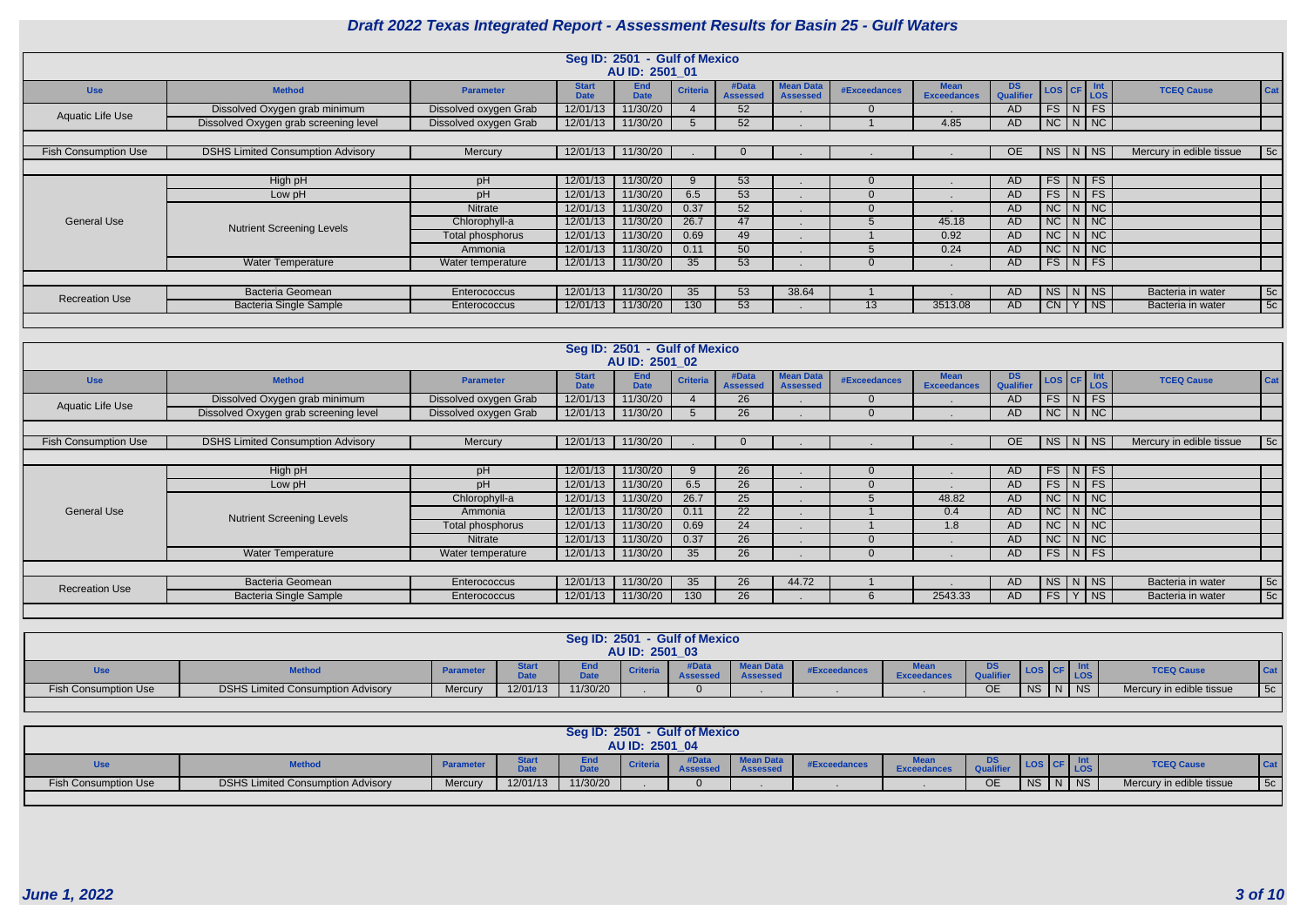|                             |                                          |                       |                             | Seg ID: 2501 - Gulf of Mexico<br>AU ID: 2501 01 |                 |                          |                                     |              |                                   |                  |                                                 |               |                          |     |
|-----------------------------|------------------------------------------|-----------------------|-----------------------------|-------------------------------------------------|-----------------|--------------------------|-------------------------------------|--------------|-----------------------------------|------------------|-------------------------------------------------|---------------|--------------------------|-----|
| <b>Use</b>                  | <b>Method</b>                            | <b>Parameter</b>      | <b>Start</b><br><b>Date</b> | <b>End</b><br><b>Date</b>                       | <b>Criteria</b> | #Data<br><b>Assessed</b> | <b>Mean Data</b><br><b>Assessed</b> | #Exceedances | <b>Mean</b><br><b>Exceedances</b> | DS.<br>Qualifier | $\textsf{LOS}$ $\textsf{CF}$ $\textsf{Int}$ LOS |               | <b>TCEQ Cause</b>        | Cat |
| Aquatic Life Use            | Dissolved Oxygen grab minimum            | Dissolved oxygen Grab | 12/01/13                    | 11/30/20                                        |                 | 52                       |                                     | $\Omega$     |                                   | AD.              |                                                 | $FS$ $N$ $FS$ |                          |     |
|                             | Dissolved Oxygen grab screening level    | Dissolved oxygen Grab | 12/01/13                    | 11/30/20                                        |                 | 52                       |                                     |              | 4.85                              | AD               |                                                 | NC N NC       |                          |     |
|                             |                                          |                       |                             |                                                 |                 |                          |                                     |              |                                   |                  |                                                 |               |                          |     |
| <b>Fish Consumption Use</b> | <b>DSHS Limited Consumption Advisory</b> | Mercury               | 12/01/13                    | 11/30/20                                        |                 |                          |                                     |              |                                   | <b>OE</b>        | $NS \mid N$                                     | <b>NS</b>     | Mercury in edible tissue | 5c  |
|                             |                                          |                       |                             |                                                 |                 |                          |                                     |              |                                   |                  |                                                 |               |                          |     |
|                             | High pH                                  | pH                    | 12/01/13                    | 11/30/20                                        |                 | 53                       |                                     | $\Omega$     |                                   | AD.              | $FS$ $N$ $FS$                                   |               |                          |     |
|                             | Low pH                                   | pH                    | 12/01/13                    | 11/30/20                                        | 6.5             | 53                       |                                     | $\Omega$     |                                   | <b>AD</b>        | $FS\mid N \mid FS$                              |               |                          |     |
|                             |                                          | Nitrate               | 12/01/13                    | 11/30/20                                        | 0.37            | 52                       |                                     | $\Omega$     |                                   | AD.              | $NC$ $N$ $NC$                                   |               |                          |     |
| <b>General Use</b>          | <b>Nutrient Screening Levels</b>         | Chlorophyll-a         | 12/01/13                    | 11/30/20                                        | 26.7            | 47                       |                                     |              | 45.18                             | AD               | $NC$ $N$ $NC$                                   |               |                          |     |
|                             |                                          | Total phosphorus      | 12/01/13                    | 11/30/20                                        | 0.69            | 49                       |                                     |              | 0.92                              | <b>AD</b>        |                                                 | $NC$ $N$ $NC$ |                          |     |
|                             |                                          | Ammonia               | 12/01/13                    | 11/30/20                                        | 0.11            | 50                       |                                     |              | 0.24                              | <b>AD</b>        | $NC$ $N$ $NC$                                   |               |                          |     |
|                             | <b>Water Temperature</b>                 | Water temperature     | 12/01/13                    | 11/30/20                                        | 35 <sup>5</sup> | 53                       |                                     |              |                                   | <b>AD</b>        |                                                 | $FS$ N FS     |                          |     |
|                             |                                          |                       |                             |                                                 |                 |                          |                                     |              |                                   |                  |                                                 |               |                          |     |
| <b>Recreation Use</b>       | Bacteria Geomean                         | <b>Enterococcus</b>   | 12/01/13                    | 11/30/20                                        | 35 <sup>°</sup> | 53                       | 38.64                               |              |                                   | AD.              |                                                 | NS N NS       | Bacteria in water        | 5c  |
|                             | <b>Bacteria Single Sample</b>            | <b>Enterococcus</b>   | 12/01/13                    | 11/30/20                                        | 130             | 53                       |                                     | 13           | 3513.08                           | AD.              |                                                 | $CN Y$ NS     | Bacteria in water        | 5c  |
|                             |                                          |                       |                             |                                                 |                 |                          |                                     |              |                                   |                  |                                                 |               |                          |     |

|                             |                                          |                       |                             | Seg ID: 2501 - Gulf of Mexico |                 |                          |                                     |              |                                   |                         |                                                            |  |    |                          |     |
|-----------------------------|------------------------------------------|-----------------------|-----------------------------|-------------------------------|-----------------|--------------------------|-------------------------------------|--------------|-----------------------------------|-------------------------|------------------------------------------------------------|--|----|--------------------------|-----|
|                             |                                          |                       |                             | AU ID: 2501 02                |                 |                          |                                     |              |                                   |                         |                                                            |  |    |                          |     |
| <b>Use</b>                  | <b>Method</b>                            | <b>Parameter</b>      | <b>Start</b><br><b>Date</b> | End<br><b>Date</b>            | <b>Criteria</b> | #Data<br><b>Assessed</b> | <b>Mean Data</b><br><b>Assessed</b> | #Exceedances | <b>Mean</b><br><b>Exceedances</b> | DS.<br><b>Qualifier</b> | $\left  \text{LoS} \right $ CF $\left  \text{Int} \right $ |  |    | <b>TCEQ Cause</b>        | Cat |
| <b>Aquatic Life Use</b>     | Dissolved Oxygen grab minimum            | Dissolved oxygen Grab | 12/01/13                    | 11/30/20                      |                 | 26                       |                                     | $\Omega$     |                                   | AD                      | $FS$ N FS                                                  |  |    |                          |     |
|                             | Dissolved Oxygen grab screening level    | Dissolved oxygen Grab | 12/01/13                    | 11/30/20                      |                 | 26                       |                                     | $\Omega$     |                                   | AD                      | $NC$ $N$ $NC$                                              |  |    |                          |     |
|                             |                                          |                       |                             |                               |                 |                          |                                     |              |                                   |                         |                                                            |  |    |                          |     |
| <b>Fish Consumption Use</b> | <b>DSHS Limited Consumption Advisory</b> | Mercury               | 12/01/13                    | 11/30/20                      |                 |                          |                                     |              |                                   | OE                      | $NS$ $N$                                                   |  | NS | Mercury in edible tissue | 5c  |
|                             | $FS$ N FS                                |                       |                             |                               |                 |                          |                                     |              |                                   |                         |                                                            |  |    |                          |     |
|                             | High pH                                  | pH                    | 12/01/13                    | 11/30/20                      |                 | 26                       |                                     | 0            |                                   | AD.                     |                                                            |  |    |                          |     |
|                             | Low pH                                   | pH                    | 12/01/13                    | 11/30/20                      | 6.5             | 26                       |                                     | $\Omega$     |                                   | AD.                     | $FS$ N FS                                                  |  |    |                          |     |
|                             |                                          | Chlorophyll-a         | 12/01/13                    | 11/30/20                      | 26.7            | 25                       |                                     |              | 48.82                             | <b>AD</b>               | NC N NC                                                    |  |    |                          |     |
| <b>General Use</b>          | <b>Nutrient Screening Levels</b>         | Ammonia               | 12/01/13                    | 11/30/20                      | 0.11            | <b>22</b>                |                                     |              | 0.4                               | AD                      | $NC$ $N$ $NC$                                              |  |    |                          |     |
|                             |                                          | Total phosphorus      | 12/01/13                    | 11/30/20                      | 0.69            | 24                       |                                     |              | 1.8                               | AD.                     | $NC$ $N$ $NC$                                              |  |    |                          |     |
|                             |                                          | <b>Nitrate</b>        | 12/01/13                    | 11/30/20                      | 0.37            | 26                       |                                     | $\Omega$     |                                   | AD                      | $NC$ $N$ $NC$                                              |  |    |                          |     |
|                             | <b>Water Temperature</b>                 | Water temperature     | 12/01/13                    | 11/30/20                      | 35 <sup>5</sup> | 26                       |                                     | $\Omega$     |                                   | <b>AD</b>               | $FS\vert N \vert FS$                                       |  |    |                          |     |
|                             |                                          |                       |                             |                               |                 |                          |                                     |              |                                   |                         |                                                            |  |    |                          |     |
| <b>Recreation Use</b>       | Bacteria Geomean                         | Enterococcus          | 12/01/13                    | 11/30/20                      | 35 <sup>5</sup> | 26                       | 44.72                               |              |                                   | <b>AD</b>               | $NS$ $N$ $NS$                                              |  |    | Bacteria in water        | 5c  |
|                             | <b>Bacteria Single Sample</b>            | Enterococcus          | 12/01/13                    | 11/30/20                      | 130             | 26                       |                                     | 6            | 2543.33                           | AD.                     | FS Y NS                                                    |  |    | Bacteria in water        | 5c  |
|                             |                                          |                       |                             |                               |                 |                          |                                     |              |                                   |                         |                                                            |  |    |                          |     |

|                             |                                          |                  |          | Seg ID: 2501 | AU ID: 2501 03  | <b>Gulf of Mexico</b> |                  |                     |                    |    |           |   |            |                          |      |
|-----------------------------|------------------------------------------|------------------|----------|--------------|-----------------|-----------------------|------------------|---------------------|--------------------|----|-----------|---|------------|--------------------------|------|
| <b>Use</b>                  | <b>Method</b>                            | <b>Parameter</b> | - - -    | <b>DALL</b>  | <b>Criteria</b> |                       | <b>Mean Data</b> | <b>#Exceedances</b> | <b>Exceedances</b> | DS |           |   | <b>LOS</b> | <b>TCEQ Cause</b>        | Cat. |
| <b>Fish Consumption Use</b> | <b>DSHS Limited Consumption Advisory</b> | Mercury          | 12/01/13 | 11/30/20     |                 |                       |                  |                     |                    | ОE | <b>NS</b> | N | <b>NS</b>  | Mercury in edible tissue | 5c   |

|                             |                                          |                  |          | <b>Seg ID: 2501</b> |                 | - Gulf of Mexico |                                              |                     |                    |    |                       |  |             |                          |                       |
|-----------------------------|------------------------------------------|------------------|----------|---------------------|-----------------|------------------|----------------------------------------------|---------------------|--------------------|----|-----------------------|--|-------------|--------------------------|-----------------------|
|                             | AU ID: 2501 04                           |                  |          |                     |                 |                  |                                              |                     |                    |    |                       |  |             |                          |                       |
| <b>Use</b>                  | <b>Method</b>                            | <b>Parameter</b> | $-1$     | <b>Date</b>         | <b>Criteria</b> | <b>Assessed</b>  | <b>Mean Data</b><br>$\overline{\phantom{a}}$ | <b>#Exceedances</b> | <b>Exceedances</b> | טש |                       |  | <b>LOS.</b> | <b>TCEQ Cause</b>        | <b>Cat</b>            |
| <b>Fish Consumption Use</b> | <b>DSHS Limited Consumption Advisory</b> | Mercury          | 12/01/13 | 11/30/20            |                 | $\mathbf{u}$     |                                              |                     |                    | OE | N <sup>2</sup><br>טוו |  | <b>NS</b>   | Mercury in edible tissue | 5 <sub>0</sub><br>ບບ∣ |
|                             |                                          |                  |          |                     |                 |                  |                                              |                     |                    |    |                       |  |             |                          |                       |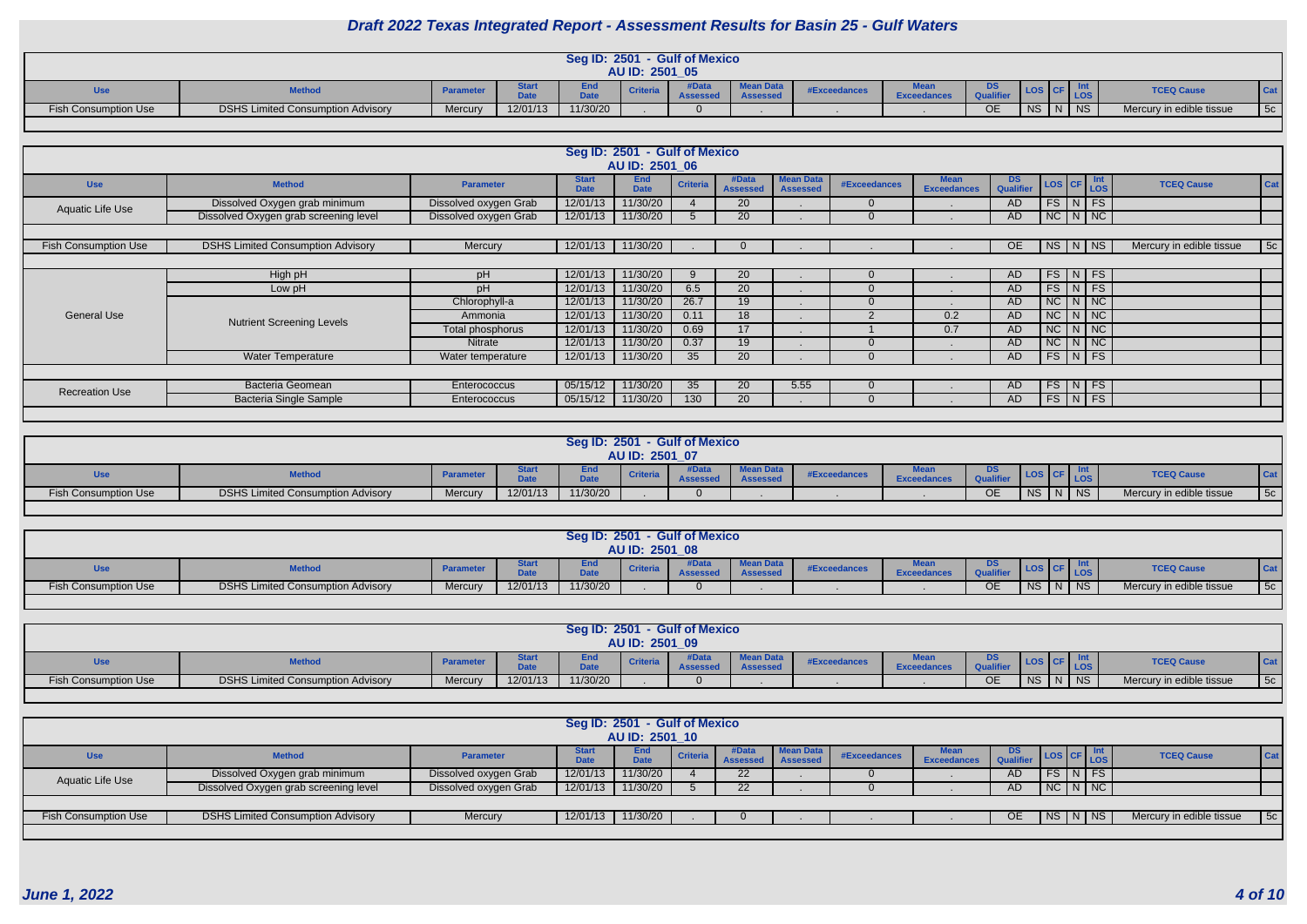|                      |                                          |                  |          |                   | AU ID: 2501 05  | Seg ID: 2501 - Gulf of Mexico |                                     |              |                            |           |           |                |                          |    |
|----------------------|------------------------------------------|------------------|----------|-------------------|-----------------|-------------------------------|-------------------------------------|--------------|----------------------------|-----------|-----------|----------------|--------------------------|----|
| Use                  | <b>Method</b>                            | <b>Parameter</b> |          | EIIU<br>المتعادية | <b>Criteria</b> | Data<br>$A - - - -$           | <b>Mean Data</b><br><b>Assesser</b> | #Exceedances | Evan<br><b>Exceedances</b> | <b>DS</b> |           |                | <b>TCEQ Cause</b>        |    |
| Fish Consumption Use | <b>DSHS Limited Consumption Advisory</b> | Mercury          | 12/01/13 | 11/30/20          |                 |                               |                                     |              |                            | OE        | <b>NS</b> | N <sup>2</sup> | Mercury in edible tissue | 5c |

|                             |                                          |                       |                             | Seg ID: 2501 - Gulf of Mexico<br>AU ID: 2501 06 |                 |                          |                                     |              |                                   |                               |                    |               |                          |     |
|-----------------------------|------------------------------------------|-----------------------|-----------------------------|-------------------------------------------------|-----------------|--------------------------|-------------------------------------|--------------|-----------------------------------|-------------------------------|--------------------|---------------|--------------------------|-----|
| <b>Use</b>                  | <b>Method</b>                            | <b>Parameter</b>      | <b>Start</b><br><b>Date</b> | <b>End</b><br><b>Date</b>                       | <b>Criteria</b> | #Data<br><b>Assessed</b> | <b>Mean Data</b><br><b>Assessed</b> | #Exceedances | <b>Mean</b><br><b>Exceedances</b> | <b>DS</b><br><b>Qualifier</b> | LOS CF Int         |               | <b>TCEQ Cause</b>        | Cat |
| Aquatic Life Use            | Dissolved Oxygen grab minimum            | Dissolved oxygen Grab | 12/01/13                    | 11/30/20                                        |                 | <b>20</b>                |                                     | $\Omega$     |                                   | AD                            | $FS$ N FS          |               |                          |     |
|                             | Dissolved Oxygen grab screening level    | Dissolved oxygen Grab | 12/01/13                    | 11/30/20                                        |                 | 20                       |                                     |              |                                   | AD                            | $NC$ $N$ $NC$      |               |                          |     |
|                             |                                          |                       |                             |                                                 |                 |                          |                                     |              |                                   |                               |                    |               |                          |     |
| <b>Fish Consumption Use</b> | <b>DSHS Limited Consumption Advisory</b> | Mercury               | 12/01/13                    | 11/30/20                                        |                 | $\Omega$                 |                                     |              |                                   | <b>OE</b>                     | NS                 | N   NS        | Mercury in edible tissue | 5c  |
|                             |                                          |                       |                             |                                                 |                 |                          |                                     |              |                                   |                               |                    |               |                          |     |
|                             | High pH                                  | pH                    | 12/01/13                    | 11/30/20                                        | 9               | 20                       |                                     |              |                                   | AD                            | $FS\mid N \mid FS$ |               |                          |     |
|                             | Low pH                                   | pH                    | 12/01/13                    | 11/30/20                                        | 6.5             | 20                       |                                     |              |                                   | AD                            | $FS$ N FS          |               |                          |     |
|                             |                                          | Chlorophyll-a         | 12/01/13                    | 11/30/20                                        | 26.7            | 19                       |                                     |              |                                   | AD                            |                    | $NC$ $N$ $NC$ |                          |     |
| <b>General Use</b>          | <b>Nutrient Screening Levels</b>         | Ammonia               | 12/01/13                    | 11/30/20                                        | 0.11            | 18                       |                                     |              | 0.2                               | AD                            |                    | $NC$ $N$ $NC$ |                          |     |
|                             |                                          | Total phosphorus      | 12/01/13                    | 11/30/20                                        | 0.69            | 17 <sup>2</sup>          |                                     |              | 0.7                               | <b>AD</b>                     |                    | $NC$ $N$ $NC$ |                          |     |
|                             |                                          | Nitrate               | 12/01/13                    | 11/30/20                                        | 0.37            | 19                       |                                     |              |                                   | AD.                           |                    | $NC$ $N$ $NC$ |                          |     |
|                             | <b>Water Temperature</b>                 | Water temperature     | 12/01/13                    | 11/30/20                                        | 35 <sup>5</sup> | 20                       |                                     |              |                                   | AD                            |                    | $FS$ N FS     |                          |     |
|                             |                                          |                       |                             |                                                 |                 |                          |                                     |              |                                   |                               |                    |               |                          |     |
| <b>Recreation Use</b>       | <b>Bacteria Geomean</b>                  | Enterococcus          | 05/15/12                    | 11/30/20                                        | 35 <sup>5</sup> | 20                       | 5.55                                | $\Omega$     |                                   | <b>AD</b>                     | $FS$ N FS          |               |                          |     |
|                             | <b>Bacteria Single Sample</b>            | Enterococcus          | 05/15/12                    | 11/30/20                                        | 130             | 20                       |                                     |              |                                   | AD.                           | $FS\mid N \mid FS$ |               |                          |     |
|                             |                                          |                       |                             |                                                 |                 |                          |                                     |              |                                   |                               |                    |               |                          |     |

|                             |                                          |                  |            | <b>Seg ID: 2501</b>       | AU ID: 2501 07  | - Gulf of Mexico     |                  |                     |                                    |           |           |                          |     |
|-----------------------------|------------------------------------------|------------------|------------|---------------------------|-----------------|----------------------|------------------|---------------------|------------------------------------|-----------|-----------|--------------------------|-----|
| <b>Use</b>                  | <b>Method</b>                            | <b>Parameter</b> | ---<br>Pun | <b>E</b> 14 A<br>ENQ<br>. | <b>Criteria</b> | <b>Data</b><br>00000 | <b>Mean Data</b> | <b>#Exceedances</b> | <b>Excer</b><br><b>Exceedances</b> | DS<br>.   |           | <b>TCEQ Cause</b>        | Cat |
| <b>Fish Consumption Use</b> | <b>DSHS Limited Consumption Advisory</b> | Mercury          | 12/01/13   | 11/30/20                  |                 |                      |                  |                     |                                    | <b>OE</b> | <b>NS</b> | Mercury in edible tissue | 5c  |

| - Gulf of Mexico<br>Seg ID: 2501<br>AU ID: 2501 08<br>7-4- |                                                                                                                                                                                                                        |         |          |          |  |  |  |  |  |           |           |  |                          |                                |
|------------------------------------------------------------|------------------------------------------------------------------------------------------------------------------------------------------------------------------------------------------------------------------------|---------|----------|----------|--|--|--|--|--|-----------|-----------|--|--------------------------|--------------------------------|
| <b>Use</b>                                                 | DS<br><b>Mean Data</b><br>štart<br><b>TCEQ Cause</b><br>Cat<br><b>Method</b><br><b>Criteria</b><br><b>#Exceedances</b><br><b>Parameter</b><br><b>DALL</b><br>$-1$<br><b>Assessed</b><br>Accessor<br><b>Exceedances</b> |         |          |          |  |  |  |  |  |           |           |  |                          |                                |
| <b>Fish Consumption Use</b>                                | <b>DSHS Limited Consumption Advisory</b>                                                                                                                                                                               | Mercury | 12/01/13 | 11/30/20 |  |  |  |  |  | <b>OE</b> | <b>NS</b> |  | $\overline{10}$<br>- 175 | 5c<br>Mercury in edible tissue |

| - Gulf of Mexico<br>Seg ID: 2501<br>AU ID: 2501 09 |                                          |                  |                      |             |  |                                 |                  |             |                    |                                                 |           |  |                          |     |
|----------------------------------------------------|------------------------------------------|------------------|----------------------|-------------|--|---------------------------------|------------------|-------------|--------------------|-------------------------------------------------|-----------|--|--------------------------|-----|
| <b>Use</b>                                         | <b>Method</b>                            | <b>Parameter</b> | $-1 -$<br><u>wuu</u> | cna<br>7.4. |  | <b>AData</b><br><b>Assessed</b> | <b>Mean Data</b> | #Exceedance | <b>Exceedances</b> | DS<br>$A$ <sub>110</sub> $B$ <sub>140</sub> $A$ |           |  | <b>TCEQ Cause</b>        | Cat |
| <b>Fish Consumption Use</b>                        | <b>DSHS Limited Consumption Advisory</b> | Mercury          | 12/01/13             | 11/30/20    |  |                                 |                  |             |                    | <b>OE</b>                                       | <b>NS</b> |  | Mercury in edible tissue | 5c  |

|                             |                                          |                       |                             | Seg ID: 2501 - Gulf of Mexico |                 |                          |                              |              |                    |     |               |               |             |                          |     |
|-----------------------------|------------------------------------------|-----------------------|-----------------------------|-------------------------------|-----------------|--------------------------|------------------------------|--------------|--------------------|-----|---------------|---------------|-------------|--------------------------|-----|
|                             |                                          |                       |                             | AU ID: 2501 10                |                 |                          |                              |              |                    |     |               |               |             |                          |     |
| <b>Use</b>                  | <b>Method</b>                            | <b>Parameter</b>      | <b>Start</b><br><b>Date</b> | End<br><b>Date</b>            | <b>Criteria</b> | #Data<br><b>Assessed</b> | <b>Mean Data</b><br>Assessed | #Exceedances | <b>Exceedances</b> | DS. |               |               | <b>ILOS</b> | <b>TCEQ Cause</b>        | Cat |
| Aquatic Life Use            | Dissolved Oxygen grab minimum            | Dissolved oxygen Grab | 12/01/13                    | 11/30/20                      |                 | 22 <sub>1</sub>          |                              |              |                    | AD  |               | $FS$ $N$ $FS$ |             |                          |     |
|                             | Dissolved Oxygen grab screening level    | Dissolved oxygen Grab | 12/01/13                    | 11/30/20                      |                 | 22                       |                              |              |                    | AD  | $N$ C $N$ $N$ |               |             |                          |     |
|                             |                                          |                       |                             |                               |                 |                          |                              |              |                    |     |               |               |             |                          |     |
| <b>Fish Consumption Use</b> | <b>DSHS Limited Consumption Advisory</b> | <b>Mercury</b>        | 12/01/13                    | 11/30/20                      |                 |                          |                              |              |                    | OE  | NS N NS       |               |             | Mercury in edible tissue | 5c  |
|                             |                                          |                       |                             |                               |                 |                          |                              |              |                    |     |               |               |             |                          |     |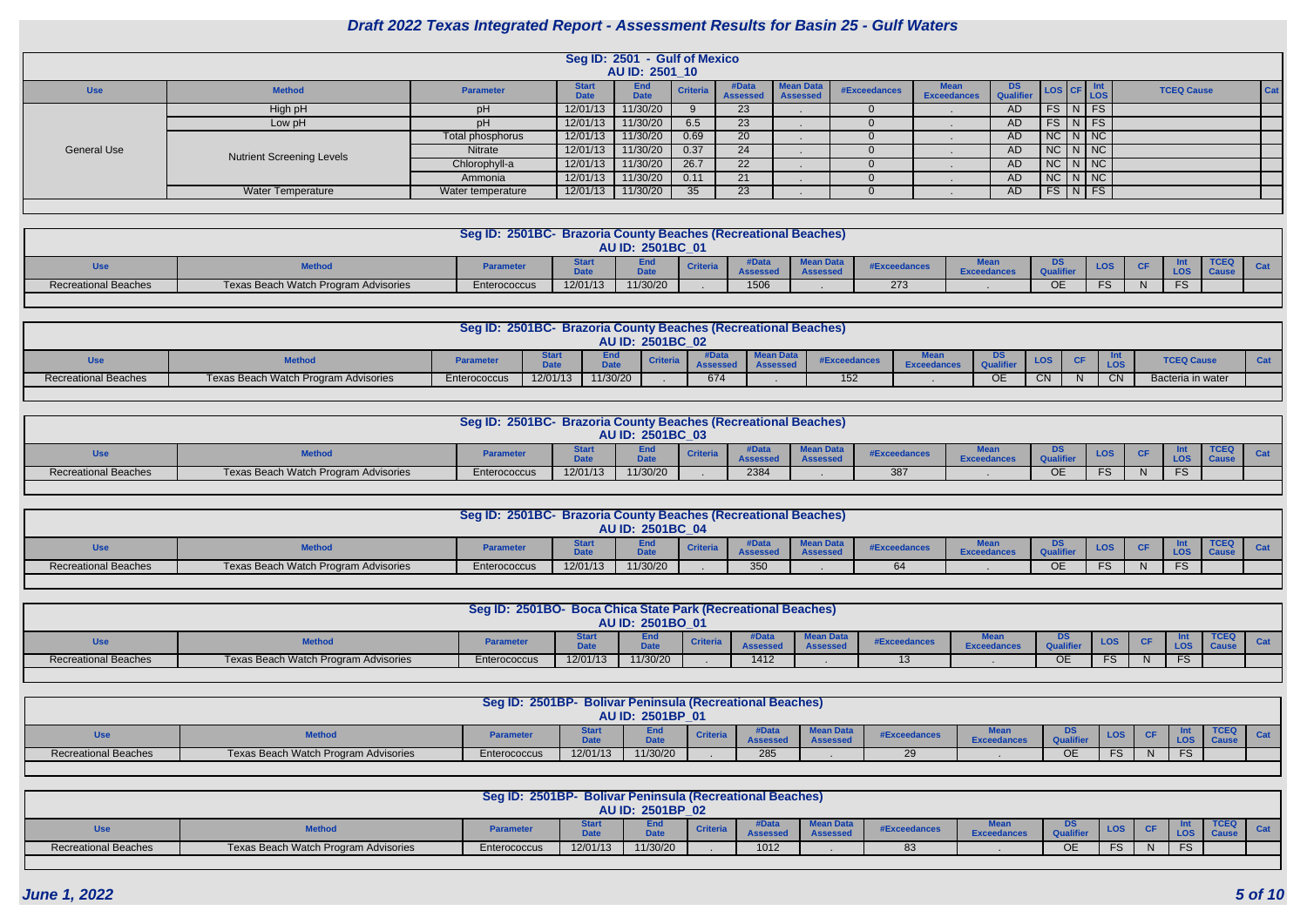|             |                                  |                   |                      | Seg ID: 2501 - Gulf of Mexico<br>AU ID: 2501_10 |                 |                          |                                     |              |                    |                         |                                                                               |  |                                 |  |
|-------------|----------------------------------|-------------------|----------------------|-------------------------------------------------|-----------------|--------------------------|-------------------------------------|--------------|--------------------|-------------------------|-------------------------------------------------------------------------------|--|---------------------------------|--|
| <b>Use</b>  | <b>Method</b>                    | <b>Parameter</b>  | <b>Starf</b><br>Date | <b>End</b><br><b>Date</b>                       | Criteria        | #Data<br><b>Assessed</b> | <b>Mean Data</b><br><b>Assessed</b> | #Exceedances | <b>Exceedances</b> | DS.<br><b>Qualifier</b> | $\left  \text{Los} \right $ CF $\left  \frac{\text{Int}}{\text{Los}} \right $ |  | <b>Cat</b><br><b>TCEQ Cause</b> |  |
|             | High pH                          |                   | 12/01/13             | 11/30/20                                        |                 | 23                       |                                     |              |                    | AD.                     | $FS$ $N$ $FS$                                                                 |  |                                 |  |
|             | Low pH                           |                   | 12/01/13             | 11/30/20                                        | 6.5             | 23                       |                                     |              |                    | AD                      | $FS \mid N \mid FS$                                                           |  |                                 |  |
|             |                                  | Total phosphorus  | 12/01/13             | 11/30/20                                        | 0.69            | 20                       |                                     |              |                    | AD                      | $NC$ $N$ $NC$                                                                 |  |                                 |  |
| General Use | <b>Nutrient Screening Levels</b> | <b>Nitrate</b>    | 12/01/13             | 11/30/20                                        | 0.37            | 24                       |                                     |              |                    | AD                      | $NC$ $N$ $NC$                                                                 |  |                                 |  |
|             |                                  | Chlorophyll-a     | 12/01/13             | 11/30/20                                        | 26.7            | 22                       |                                     |              |                    | AD                      | $NC$ $N$ $NC$                                                                 |  |                                 |  |
|             |                                  | Ammonia           | 12/01/13             | 11/30/20                                        | 0.11            | 21                       |                                     |              |                    | AD.                     | $NC$ $N$ $NC$                                                                 |  |                                 |  |
|             | <b>Water Temperature</b>         | Water temperature | 12/01/13             | 11/30/20                                        | 35 <sup>5</sup> | 23                       |                                     |              |                    | AD.                     | $FS$ N FS                                                                     |  |                                 |  |
|             |                                  |                   |                      |                                                 |                 |                          |                                     |              |                    |                         |                                                                               |  |                                 |  |

|                             | Seg ID: 2501BC- Brazoria County Beaches (Recreational Beaches)<br><b>AU ID: 2501BC 01</b>                                                                               |              |          |          |  |      |  |     |  |    |     |  |  |  |  |
|-----------------------------|-------------------------------------------------------------------------------------------------------------------------------------------------------------------------|--------------|----------|----------|--|------|--|-----|--|----|-----|--|--|--|--|
| <b>Use</b>                  | Mean Day<br>End<br><b>LOS</b><br><b>CF</b><br><b>Criteria</b><br><b>Parameter</b><br><b>Method</b><br>#Exceedances<br>LOS<br><b>BALL</b><br>.<br><b>Exceed.</b><br>ance |              |          |          |  |      |  |     |  |    |     |  |  |  |  |
| <b>Recreational Beaches</b> | Texas Beach Watch Program Advisories                                                                                                                                    | Enterococcus | 12/01/13 | 11/30/20 |  | 1506 |  | 273 |  | OЕ | ro. |  |  |  |  |
|                             |                                                                                                                                                                         |              |          |          |  |      |  |     |  |    |     |  |  |  |  |

|                             |                                      | Seg ID: 2501BC- Brazoria County Beaches (Recreational Beaches) |          |                 | <b>AU ID: 2501BC 02</b> |     |        |        |                   |              |                         |           |     |                   |  |
|-----------------------------|--------------------------------------|----------------------------------------------------------------|----------|-----------------|-------------------------|-----|--------|--------|-------------------|--------------|-------------------------|-----------|-----|-------------------|--|
|                             | <b>Method</b>                        | <b>Parameter</b>                                               |          | Ellu<br>$P = 1$ | <b>Criteria</b>         |     | nuuuuu | #Excee | <b>Exceedance</b> |              | <b>LOS</b>              | <b>CF</b> |     | <b>TCEQ Cause</b> |  |
| <b>Recreational Beaches</b> | Texas Beach Watch Program Advisories | Enterococcus                                                   | 12/01/13 | 11/30/20        |                         | 674 |        | 152    |                   | $\cap$<br>◡∟ | $\bigcap$<br><b>VIV</b> |           | CN. | Bacteria in water |  |
|                             |                                      |                                                                |          |                 |                         |     |        |        |                   |              |                         |           |     |                   |  |

|                      |                                      | Seg ID: 2501BC- Brazoria County Beaches (Recreational Beaches) |          | AU ID: 2501BC 03 |                 |      |              |              |              |    |            |           |            |      |  |
|----------------------|--------------------------------------|----------------------------------------------------------------|----------|------------------|-----------------|------|--------------|--------------|--------------|----|------------|-----------|------------|------|--|
| <b>Use</b>           | <b>Method</b>                        | <b>Parameter</b>                                               |          |                  | <b>Criteria</b> |      | <b>Magnu</b> | #Exceedances | <b>Excee</b> | טש | <b>LOS</b> | <b>CF</b> | <b>LOS</b> | TCEQ |  |
| Recreational Beaches | Texas Beach Watch Program Advisories | Enterococcus                                                   | 12/01/13 | 11/30/20         |                 | 2384 |              | 387          |              | ОE |            |           | $\Gamma$   |      |  |
|                      |                                      |                                                                |          |                  |                 |      |              |              |              |    |            |           |            |      |  |

|                             |                                      | Seg ID: 2501BC- Brazoria County Beaches (Recreational Beaches) |          |                         |                 |              |                         |              |                    |                     |          |           |            |                                |  |
|-----------------------------|--------------------------------------|----------------------------------------------------------------|----------|-------------------------|-----------------|--------------|-------------------------|--------------|--------------------|---------------------|----------|-----------|------------|--------------------------------|--|
|                             |                                      |                                                                |          | <b>AU ID: 2501BC 04</b> |                 |              |                         |              |                    |                     |          |           |            |                                |  |
| Use                         |                                      | <b>Parameter</b>                                               |          | <b>DALL</b>             | <b>Criteria</b> | <b>COOCO</b> | Mean D<br><b>SSPRSS</b> | #Exceedances | <b>Exceedances</b> | טע                  | LOS      | <b>CF</b> | <b>LOS</b> | TCEC<br>$\Gamma$ $\sim$ $\sim$ |  |
| <b>Recreational Beaches</b> | Texas Beach Watch Program Advisories | Enterococcus                                                   | 12/01/13 | 11/30/20                |                 | 350          |                         |              |                    | $\sim$ $\sim$<br>◡∟ | $\Gamma$ |           | $\Gamma$   |                                |  |

|                             |                                      | Seg ID: 2501BO- Boca Chica State Park (Recreational Beaches) |             | <b>AU ID: 2501BO 01</b> |                 |      |                             |                     |                    |               |            |           |     |             |  |
|-----------------------------|--------------------------------------|--------------------------------------------------------------|-------------|-------------------------|-----------------|------|-----------------------------|---------------------|--------------------|---------------|------------|-----------|-----|-------------|--|
| <b>Use</b>                  | <b>Methou</b>                        | <b>Parameter</b>                                             | <b>1.1.</b> | -- -<br>=ще<br>$-1$     | <b>Criteria</b> |      | Mean Data<br><b>CCACCAC</b> | <b>#Exceedances</b> | <b>Exceedances</b> | <b>CALLED</b> | <b>LOS</b> | <b>CF</b> |     | <b>TCEQ</b> |  |
| <b>Recreational Beaches</b> | Texas Beach Watch Program Advisories | Enterococcus                                                 | 12/01/13    | 11/30/20                |                 | 1412 |                             |                     |                    | UE            |            |           | FS. |             |  |

|                             |                                      | Seg ID: 2501BP- Bolivar Peninsula (Recreational Beaches) |              | AU ID: 2501BP 01   |                |       |                  |             |           |                       |            |     |             |  |
|-----------------------------|--------------------------------------|----------------------------------------------------------|--------------|--------------------|----------------|-------|------------------|-------------|-----------|-----------------------|------------|-----|-------------|--|
| Use                         | <b>Method</b>                        | <b>Parameter</b>                                         | ----<br>---- | ∠nd<br><b>Data</b> | <b>Criteri</b> | tData | <b>Mean Data</b> | #Exceedance | Exceedanc | <b>DS</b><br>Qualifie | <b>LOS</b> |     | <b>TCEQ</b> |  |
| <b>Recreational Beaches</b> | Texas Beach Watch Program Advisories | Enterococcus                                             | 12/01/13     | 11/30/20           |                | 285   |                  | 20          |           | ОE                    | . ت        | FS. |             |  |

|                             |                                      | Seg ID: 2501BP- Bolivar Peninsula (Recreational Beaches) |           | <b>AU ID: 2501BP 02</b> |                 |                              |                             |              |                        |           |            |  |             |     |
|-----------------------------|--------------------------------------|----------------------------------------------------------|-----------|-------------------------|-----------------|------------------------------|-----------------------------|--------------|------------------------|-----------|------------|--|-------------|-----|
| Use                         | <b>Method</b>                        | <b>Parameter</b>                                         | .<br>---- | <b>End</b><br>.<br>pau  | <b>Criteria</b> | Data<br>$\mathbf{A}$ - - - - | <b>Mean Data</b><br>Accacco | #Exceedances | $M - -$<br>Exceedances | Qualifier | <b>LOS</b> |  | <b>TCEQ</b> | Cat |
| <b>Recreational Beaches</b> | Texas Beach Watch Program Advisories | Enterococcus                                             | 12/01/13  | 11/30/20                |                 | 1012                         |                             | $\sim$<br>റാ |                        | OE.       |            |  |             |     |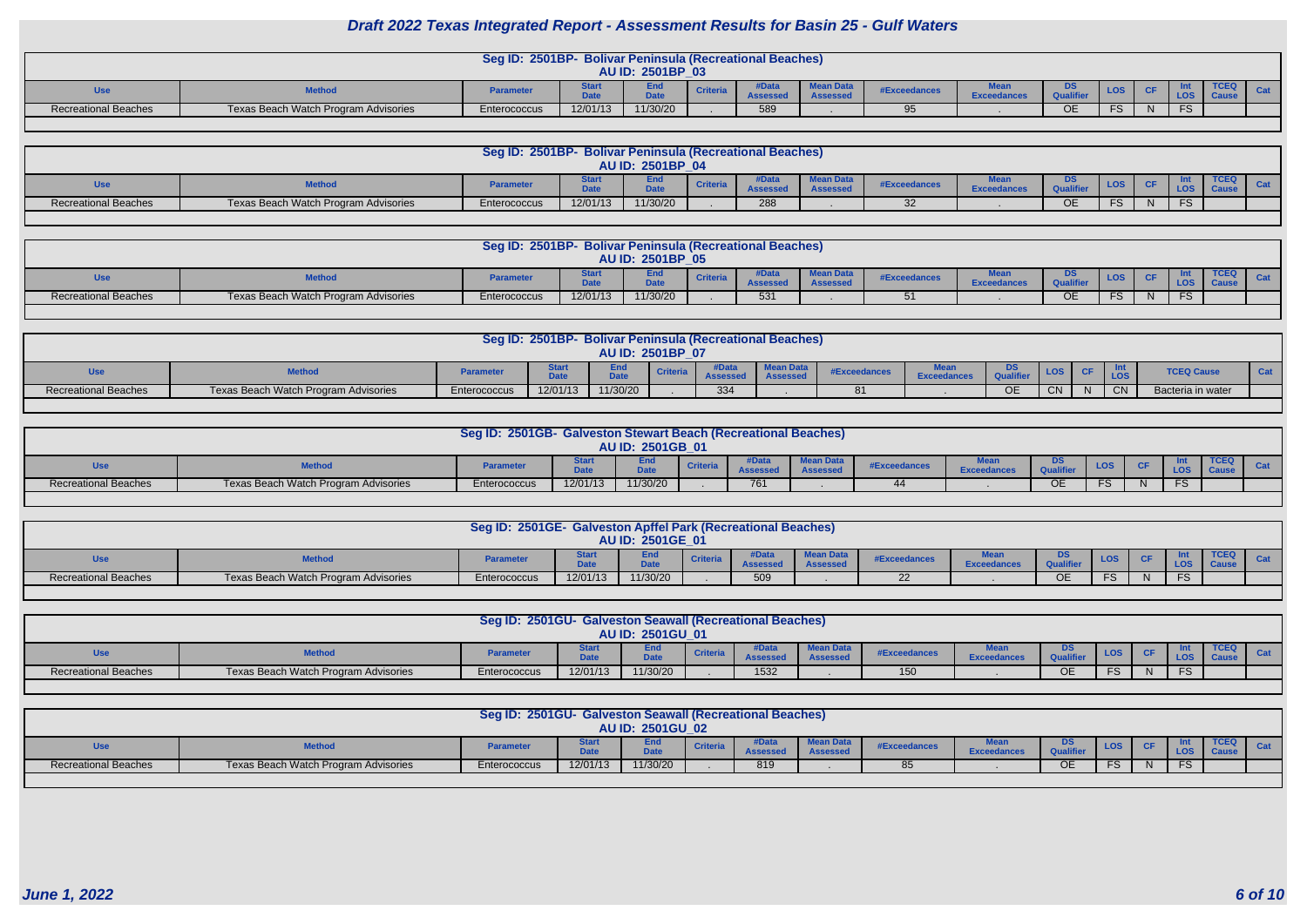|                             |                                      | Seg ID: 2501BP- Bolivar Peninsula (Recreational Beaches) |          | AU ID: 2501BP 03 |     |              |             |           |            |              |     |  |
|-----------------------------|--------------------------------------|----------------------------------------------------------|----------|------------------|-----|--------------|-------------|-----------|------------|--------------|-----|--|
| <b>ISA</b><br>uou           | <b>Method</b>                        | <b>Paramete</b>                                          | --       | cnu<br>المتعادل  |     | #Exceedances | Exceedances | Qualifier | <b>LOS</b> |              |     |  |
| <b>Recreational Beaches</b> | Texas Beach Watch Program Advisories | Enterococcus                                             | 12/01/13 | 11/30/20         | 589 | Q5           |             | <b>OE</b> | $\cdot$    | $\mathbf{N}$ | FS. |  |
|                             |                                      |                                                          |          |                  |     |              |             |           |            |              |     |  |

|                             |                                      | Seg ID: 2501BP- Bolivar Peninsula (Recreational Beaches) |             |                  |                 |                         |                                     |                     |                   |    |      |  |             |  |
|-----------------------------|--------------------------------------|----------------------------------------------------------|-------------|------------------|-----------------|-------------------------|-------------------------------------|---------------------|-------------------|----|------|--|-------------|--|
|                             |                                      |                                                          |             | AU ID: 2501BP 04 |                 |                         |                                     |                     |                   |    |      |  |             |  |
| <b>Use</b>                  | <b>Method</b>                        | <b>Parameter</b>                                         | 7.4.<br>$-$ | End<br>Date      | <b>Criteria</b> | ∤Data<br><b>Assesse</b> | <b>Mean Data</b><br><b>Assessed</b> | <b>#Exceedances</b> | <b>Exceedance</b> |    | LOS. |  | <b>TCEQ</b> |  |
| <b>Recreational Beaches</b> | Texas Beach Watch Program Advisories | Enterococcus                                             | 12/01/13    | 11/30/20         |                 | 288                     |                                     | ົດ<br>◡▵            |                   | ОE |      |  |             |  |
|                             |                                      |                                                          |             |                  |                 |                         |                                     |                     |                   |    |      |  |             |  |

|                             |                                      | Seg ID: 2501BP- Bolivar Peninsula (Recreational Beaches) |          | AU ID: 2501BP 05   |                 |                                |                                     |              |                        |           |            |  |             |  |
|-----------------------------|--------------------------------------|----------------------------------------------------------|----------|--------------------|-----------------|--------------------------------|-------------------------------------|--------------|------------------------|-----------|------------|--|-------------|--|
| <b>Use</b>                  | <b>Method</b>                        | <b>Parameter</b>                                         | .        | End<br><b>Data</b> | <b>Criteria</b> | <b>iData</b><br><b>Assesse</b> | <b>Mean Data</b><br><b>Assessed</b> | #Exceedances | .<br><b>Exceedance</b> | <b>DS</b> | <u>LOS</u> |  | <b>TCEQ</b> |  |
| <b>Recreational Beaches</b> | Texas Beach Watch Program Advisories | Enterococcus                                             | 12/01/13 | 11/30/20           |                 | 531                            |                                     |              |                        | <b>OE</b> |            |  |             |  |

|                             |                                      |              |          |                  |                 |     | Seg ID: 2501BP- Bolivar Peninsula (Recreational Beaches) |              |            |           |     |     |           |                   |  |
|-----------------------------|--------------------------------------|--------------|----------|------------------|-----------------|-----|----------------------------------------------------------|--------------|------------|-----------|-----|-----|-----------|-------------------|--|
|                             |                                      |              |          | AU ID: 2501BP 07 |                 |     |                                                          |              |            |           |     |     |           |                   |  |
|                             | <b>Method</b>                        | Parameter    | $-1$     | <b>D.L.</b>      | <b>Criteria</b> |     | Mean Dat                                                 | #Exceedances | <b>MAA</b> |           | LOS | CF. |           | <b>TCEQ Cause</b> |  |
| <b>Recreational Beaches</b> | Texas Beach Watch Program Advisories | Enterococcus | 12/01/13 | 11/30/20         |                 | 334 |                                                          | 81           |            | <b>OE</b> | CN. | N.  | <b>CN</b> | Bacteria in water |  |

| <b>AU ID: 2501GB 01</b><br>Mean D<br>Enc<br>טש<br><b>Mothon</b>                                                                                        |     |                  |             |                 |  |                     |               |            |           |            |      |  |
|--------------------------------------------------------------------------------------------------------------------------------------------------------|-----|------------------|-------------|-----------------|--|---------------------|---------------|------------|-----------|------------|------|--|
|                                                                                                                                                        |     |                  |             |                 |  |                     |               |            |           |            |      |  |
|                                                                                                                                                        | Use | <b>Parameter</b> | <b>DAL-</b> | <b>Criteria</b> |  | <b>#Exceedances</b> | <b>Exceet</b> | <b>LOS</b> | <b>CF</b> | <b>LOS</b> | TCEQ |  |
| 11/30/20<br>12/01/13<br><b>Recreational Beaches</b><br>Texas Beach Watch Program Advisories<br>761<br>$\Gamma$<br>Enterococcus<br>$\Gamma$<br>~-<br>UE |     |                  |             |                 |  |                     |               |            |           |            |      |  |

|                             |                                      | Seg ID: 2501GE- Galveston Apffel Park (Recreational Beaches) |          |                         |                 |     |                     |                     |                    |           |            |    |     |             |  |
|-----------------------------|--------------------------------------|--------------------------------------------------------------|----------|-------------------------|-----------------|-----|---------------------|---------------------|--------------------|-----------|------------|----|-----|-------------|--|
|                             |                                      |                                                              |          | <b>AU ID: 2501GE 01</b> |                 |     |                     |                     |                    |           |            |    |     |             |  |
| Use                         |                                      | <b>Parameter</b>                                             | pau      | -                       | <b>Criteria</b> |     | $M = -1$<br>ceaccar | <b>#Exceedances</b> | <b>Exceedances</b> | Qualifier | <b>LOS</b> | CF |     | <b>TCEQ</b> |  |
| <b>Recreational Beaches</b> | Texas Beach Watch Program Advisories | Enterococcus                                                 | 12/01/13 | 11/30/20                |                 | 509 |                     | or<br>22            |                    | UE        |            |    | FS. |             |  |

|                      |                                      | Seg ID: 2501GU- Galveston Seawall (Recreational Beaches) |          | <b>AU ID: 2501GU 01</b> |                 |      |                       |              |        |                        |            |  |             |             |
|----------------------|--------------------------------------|----------------------------------------------------------|----------|-------------------------|-----------------|------|-----------------------|--------------|--------|------------------------|------------|--|-------------|-------------|
| <b>Jse</b>           | <b>Method</b>                        | Paramete                                                 | Date     | <b>Eng</b><br>.         | <b>Criteria</b> | A    | lean Data<br>Assesseo | #Exceedances | edance | פר<br><b>Qualifier</b> | <b>LOS</b> |  | <b>TCEQ</b> | $\Gamma$ at |
| Recreational Beaches | Texas Beach Watch Program Advisories | Enterococcus                                             | 12/01/13 | 11/30/20                |                 | 1532 |                       | 150          |        | <b>OE</b>              |            |  |             |             |
|                      |                                      |                                                          |          |                         |                 |      |                       |              |        |                        |            |  |             |             |

|                             |                                      | Seg ID: 2501GU- Galveston Seawall (Recreational Beaches) |          | <b>AU ID: 2501GU 02</b> |                 |     |                              |                     |               |           |            |  |             |  |
|-----------------------------|--------------------------------------|----------------------------------------------------------|----------|-------------------------|-----------------|-----|------------------------------|---------------------|---------------|-----------|------------|--|-------------|--|
| <b>Use</b>                  | <b>Method</b>                        | Parameter                                                | $-1$     | ENG<br><b>Data</b>      | <b>Criteria</b> |     | M <sub>tan</sub><br>Assessed | <b>#Exceedances</b> | edance:<br>xœ | DS        | <b>LOS</b> |  | <b>TCEQ</b> |  |
| <b>Recreational Beaches</b> | Texas Beach Watch Program Advisories | Enterococcus                                             | 12/01/13 | 11/30/20                |                 | 819 |                              |                     |               | <b>OE</b> |            |  |             |  |
|                             |                                      |                                                          |          |                         |                 |     |                              |                     |               |           |            |  |             |  |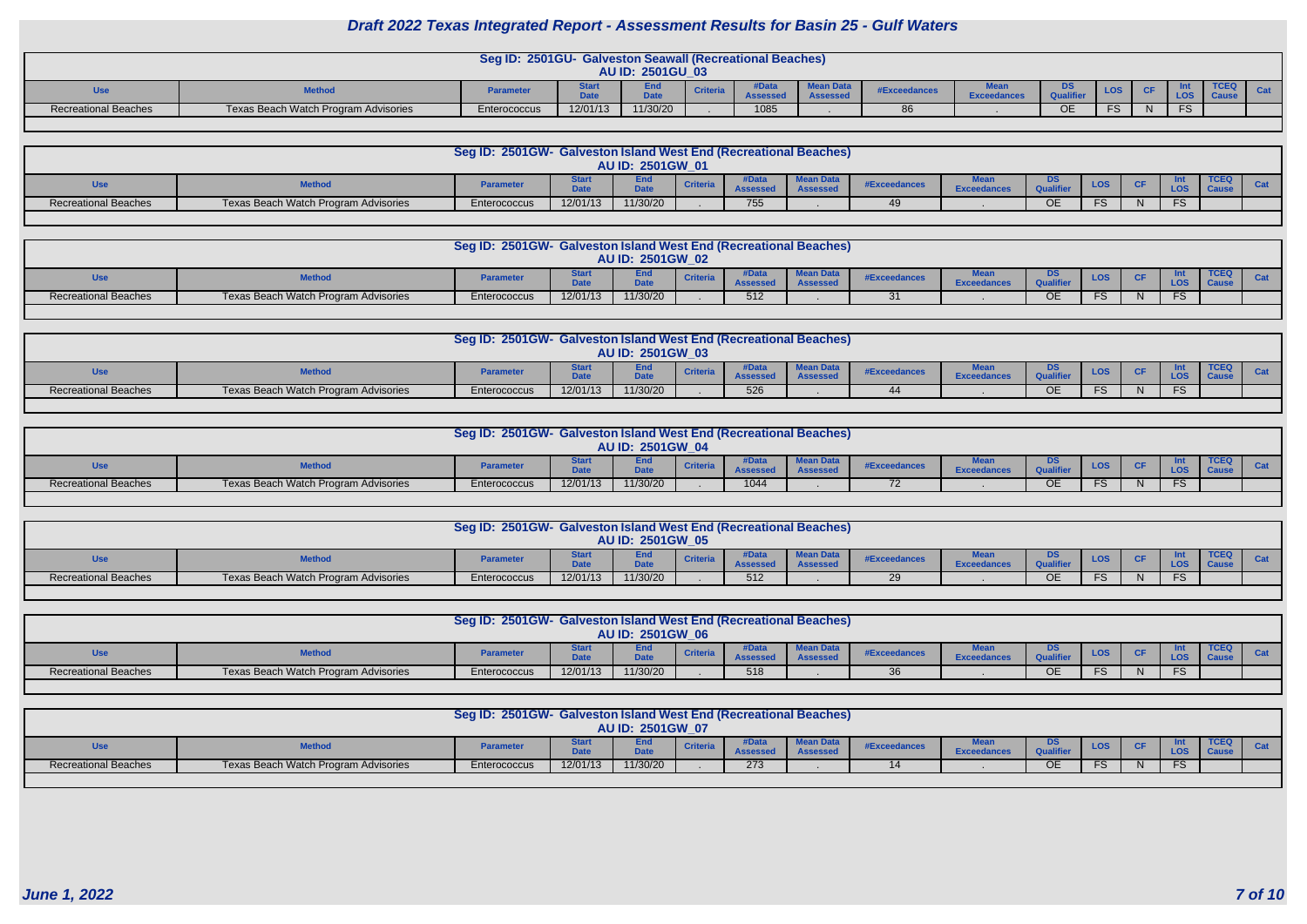|                             |                                      | Seg ID: 2501GU- Galveston Seawall (Recreational Beaches) |          | <b>AU ID: 2501GU 03</b> |                 |             |                  |                     |                                       |     |     |  |             |  |
|-----------------------------|--------------------------------------|----------------------------------------------------------|----------|-------------------------|-----------------|-------------|------------------|---------------------|---------------------------------------|-----|-----|--|-------------|--|
| <b>Use</b>                  | <b>Method</b>                        | <b>Parameter</b>                                         |          | ∠and<br>$P - 1$         | <b>Criteria</b> | <b>Data</b> | <b>Mean Data</b> | <b>#Exceedances</b> | <b><i><u>BA</u></i></b><br>Exceedance | DS  | LOS |  | <b>TCEQ</b> |  |
| <b>Recreational Beaches</b> | Texas Beach Watch Program Advisories | <b>Enterococcus</b>                                      | 12/01/13 | 11/30/20                |                 | 1085        |                  |                     |                                       | OE. |     |  |             |  |
|                             |                                      |                                                          |          |                         |                 |             |                  |                     |                                       |     |     |  |             |  |

|                      |                                      | Seg ID: 2501GW- Galveston Island West End (Recreational Beaches) |          |                    |                 |     |          |                     |                 |        |            |           |            |             |  |
|----------------------|--------------------------------------|------------------------------------------------------------------|----------|--------------------|-----------------|-----|----------|---------------------|-----------------|--------|------------|-----------|------------|-------------|--|
|                      |                                      |                                                                  |          | AU ID: 2501GW_01   |                 |     |          |                     |                 |        |            |           |            |             |  |
| Use                  |                                      | <b>Paramete</b>                                                  |          | End<br><b>DAL-</b> | <b>Criteria</b> |     | Mean Day | <b>#Exceedances</b> | <b>Exceedan</b> | DS.    | <b>LOS</b> | <b>CF</b> | <b>LOS</b> | <b>TCEQ</b> |  |
| Recreational Beaches | Texas Beach Watch Program Advisories | Enterococcus                                                     | 12/01/13 | 11/30/20           |                 | 755 |          |                     |                 | $\cap$ | FS .       |           | FS         |             |  |
|                      |                                      |                                                                  |          |                    |                 |     |          |                     |                 |        |            |           |            |             |  |

|                      |                                      | Seg ID: 2501GW- Galveston Island West End (Recreational Beaches) |          |                         |                 |     |                             |              |                |                         |           |                            |  |
|----------------------|--------------------------------------|------------------------------------------------------------------|----------|-------------------------|-----------------|-----|-----------------------------|--------------|----------------|-------------------------|-----------|----------------------------|--|
|                      |                                      |                                                                  |          | <b>AU ID: 2501GW 02</b> |                 |     |                             |              |                |                         |           |                            |  |
| Use                  |                                      | <b>Parameter</b>                                                 |          | <b>E</b><br><b>DALL</b> | <b>Criteria</b> |     | Mean Data<br><b>Assesse</b> | #Exceedances | <b>Exceed.</b> | <b>LOS</b>              | <b>CF</b> | <b>TCEQ</b><br><b>Caus</b> |  |
| Recreational Beaches | Texas Beach Watch Program Advisories | Enterococcus                                                     | 12/01/13 | 11/30/20                |                 | 512 |                             | 31           |                | ce.<br>$\mathbf \sigma$ | N         |                            |  |
|                      |                                      |                                                                  |          |                         |                 |     |                             |              |                |                         |           |                            |  |

|                             |                                      | <b>Seg ID: 2501GW-</b> | - Galveston Island West End (Recreational Beaches) |                  |                 |         |                        |                   |                    |            |            |           |                 |             |  |
|-----------------------------|--------------------------------------|------------------------|----------------------------------------------------|------------------|-----------------|---------|------------------------|-------------------|--------------------|------------|------------|-----------|-----------------|-------------|--|
|                             |                                      |                        |                                                    | AU ID: 2501GW 03 |                 |         |                        |                   |                    |            |            |           |                 |             |  |
| Jse                         | <b>Method</b>                        | <b>Parameter</b>       |                                                    | Date             | <b>Criteria</b> | $A - 2$ | Mean D<br><b>COOCO</b> | <b>⊧Exceedanc</b> | <b>Exceedances</b> |            | <b>LOS</b> | <b>CF</b> |                 | <b>TCEQ</b> |  |
| <b>Recreational Beaches</b> | Texas Beach Watch Program Advisories | Enterococcus           | 12/01/13                                           | 11/30/20         |                 | 526     |                        |                   |                    | $\sim$ $-$ | EC.<br>гэ  |           | $\Gamma$<br>. . |             |  |

|                             |                                      | Seg ID: 2501GW- Galveston Island West End (Recreational Beaches) |          |                         |                 |      |                 |              |                    |            |           |                            |  |
|-----------------------------|--------------------------------------|------------------------------------------------------------------|----------|-------------------------|-----------------|------|-----------------|--------------|--------------------|------------|-----------|----------------------------|--|
|                             |                                      |                                                                  |          | <b>AU ID: 2501GW 04</b> |                 |      |                 |              |                    |            |           |                            |  |
| <b>Use</b>                  | <b>Method</b>                        | <b>Parameter</b>                                                 |          | Data                    | <b>Criteria</b> |      | <b>MAAD DAL</b> | #Exceedances | <b>Exceedances</b> | <b>LOS</b> | <b>CF</b> | <b>TCEQ</b><br><b>Caus</b> |  |
| <b>Recreational Beaches</b> | Texas Beach Watch Program Advisories | Enterococcus                                                     | 12/01/13 | 11/30/20                |                 | 1044 |                 |              |                    | EC.<br>o   |           |                            |  |
|                             |                                      |                                                                  |          |                         |                 |      |                 |              |                    |            |           |                            |  |

|                             |                                      | Seg ID: 2501GW- Galveston Island West End (Recreational Beaches) |          |                         |                 |       |           |              |                     |            |           |                                              |  |
|-----------------------------|--------------------------------------|------------------------------------------------------------------|----------|-------------------------|-----------------|-------|-----------|--------------|---------------------|------------|-----------|----------------------------------------------|--|
|                             |                                      |                                                                  |          | <b>AU ID: 2501GW 05</b> |                 |       |           |              |                     |            |           |                                              |  |
| Use                         | <b>Method</b>                        | <b>Parameter</b>                                                 |          | Date                    | <b>Criteria</b> | lDat: | $Mean$ D: | #Exceedance: | $\mathsf{X}$ ceedar | <b>LOS</b> | <b>CF</b> | <b>TCEQ</b><br>$\blacksquare$ $\blacksquare$ |  |
| <b>Recreational Beaches</b> | Texas Beach Watch Program Advisories | Enterococcus                                                     | 12/01/13 | 11/30/20                |                 | 512   |           | 29           |                     | EC.<br>د ⊤ | ΙN        |                                              |  |

| LOS<br><b>Criteria</b><br>Use<br><b>Parameter</b><br><b>#Exceedances</b><br><b>DALL</b><br><b>THAMA</b><br>$\mathsf{^\text{r}xce}$           | <b>TCEQ</b><br><b>LOS</b> |  |
|----------------------------------------------------------------------------------------------------------------------------------------------|---------------------------|--|
| 12/01/13<br>11/30/20<br>Recreational Beaches<br>Texas Beach Watch Program Advisories<br>518<br>ОE<br>FS.<br>$\Omega$<br>Enterococcus<br>-30. | FS                        |  |

|                             |                                      | Seg ID: 2501GW- Galveston Island West End (Recreational Beaches) |          | <b>AU ID: 2501GW 07</b> |                 |         |                              |                     |                    |    |            |    |                            |  |
|-----------------------------|--------------------------------------|------------------------------------------------------------------|----------|-------------------------|-----------------|---------|------------------------------|---------------------|--------------------|----|------------|----|----------------------------|--|
|                             |                                      | <b>Parameter</b>                                                 |          | Enc<br><b>D.L.</b>      | <b>Criteria</b> | Accacca | Mean Data<br><b>Assessed</b> | <b>#Exceedance:</b> | <b>Exceedance.</b> | υə | <b>LOS</b> | CF | <b>TCEQ</b><br><b>Caus</b> |  |
| <b>Recreational Beaches</b> | Texas Beach Watch Program Advisories | Enterococcus                                                     | 12/01/13 | 11/30/20                |                 | 273     |                              |                     |                    |    | $\cdot$    | N  |                            |  |
|                             |                                      |                                                                  |          |                         |                 |         |                              |                     |                    |    |            |    |                            |  |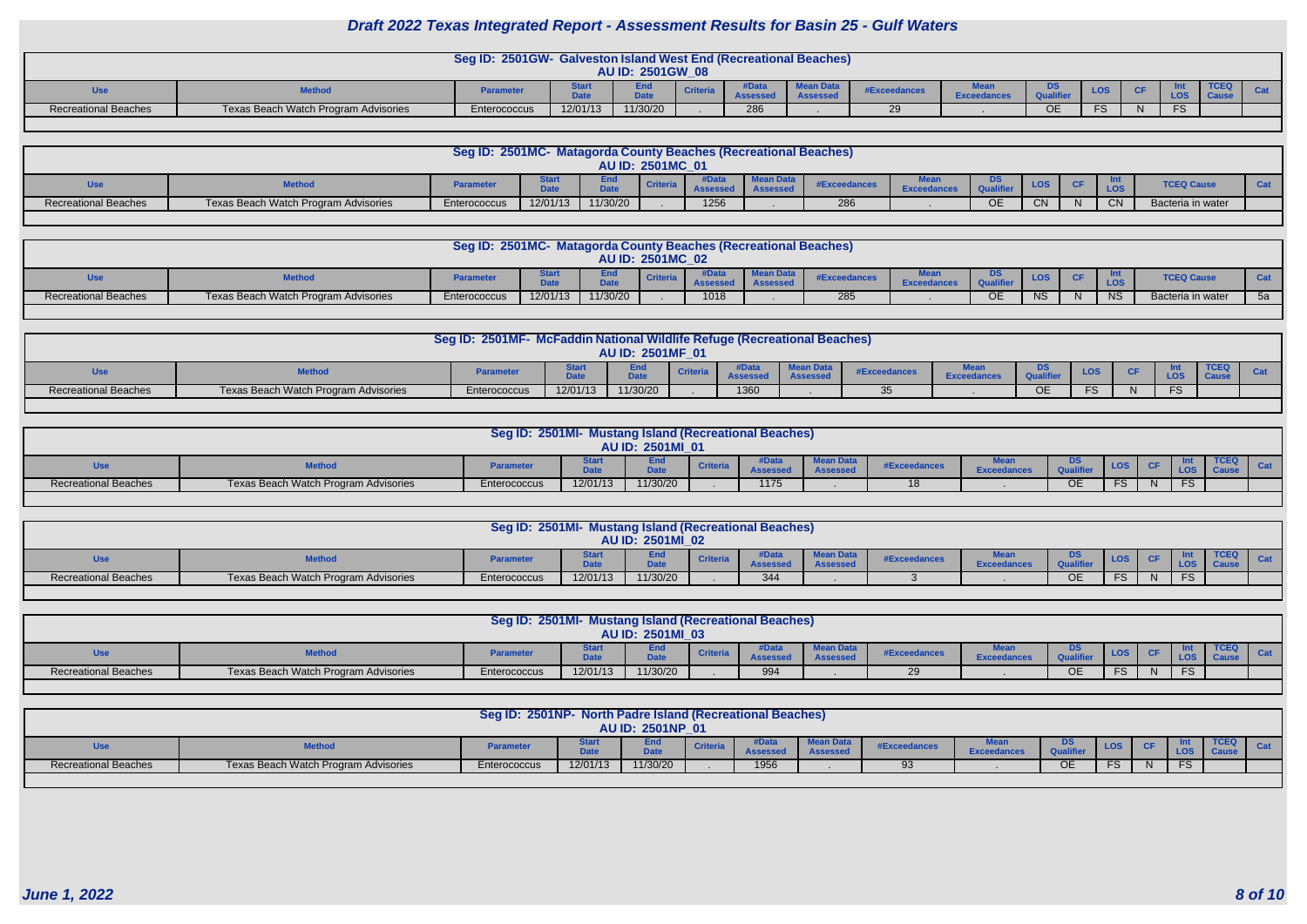|                             |                                      | Seg ID: 2501GW- Galveston Island West End (Recreational Beaches) |          | <b>AU ID: 2501GW 08</b> |                 |     |              |             |                     |            |            |             |  |
|-----------------------------|--------------------------------------|------------------------------------------------------------------|----------|-------------------------|-----------------|-----|--------------|-------------|---------------------|------------|------------|-------------|--|
| Use                         | <b>Tethon</b>                        | <b>Parameter</b>                                                 | .        | EIIV                    | <b>Criteria</b> |     | #Exceedance  | exceedances |                     | <b>LOS</b> | <b>LOS</b> | <b>TCEQ</b> |  |
| <b>Recreational Beaches</b> | Texas Beach Watch Program Advisories | Enterococcus                                                     | 12/01/13 | 11/30/20                |                 | 286 | $\sim$<br>∠⊃ |             | $\sim$ $\sim$<br>ΟE | .          | $\Gamma$   |             |  |
|                             |                                      |                                                                  |          |                         |                 |     |              |             |                     |            |            |             |  |

|                      |                                      | Seg ID: 2501MC- Matagorda County Beaches (Recreational Beaches) |             |              |                  |               |                              |                     |    |            |              |           |                   |  |
|----------------------|--------------------------------------|-----------------------------------------------------------------|-------------|--------------|------------------|---------------|------------------------------|---------------------|----|------------|--------------|-----------|-------------------|--|
|                      |                                      |                                                                 |             |              | AU ID: 2501MC 01 |               |                              |                     |    |            |              |           |                   |  |
| <b>Jse</b>           | <b>Method</b>                        | <b>Paramete</b>                                                 | <b>DAL-</b> | -nal<br>Data | <b>Criteria</b>  | <b>Assess</b> | <b>Mean Data</b><br>Assessed | <b>#Exceedances</b> |    | <b>LOS</b> | <b>CF</b>    |           | <b>TCEQ Caus</b>  |  |
| Recreational Beaches | Texas Beach Watch Program Advisories | Enterococcus                                                    | 12/01/13    | 11/30/20     |                  | 1256          |                              | 286                 | OE | <b>CN</b>  | $\mathbf{N}$ | <b>CN</b> | Bacteria in water |  |
|                      |                                      |                                                                 |             |              |                  |               |                              |                     |    |            |              |           |                   |  |

| AU ID: 2501MC_02<br><b>Mean Data</b><br><b>TCEQ Caus</b><br><b>LOS</b><br>$C$ F<br><b>Method</b><br><b>Parameter</b><br><b>Criteria</b><br><b>Use</b><br>#Exceedances<br>LOS.<br><b>Date</b><br>Data<br>$\sim$ $\sim$ |                      |                                      | Seg ID: 2501MC- Matagorda County Beaches (Recreational Beaches) |          |          |      |     |    |           |              |           |                   |    |
|-----------------------------------------------------------------------------------------------------------------------------------------------------------------------------------------------------------------------|----------------------|--------------------------------------|-----------------------------------------------------------------|----------|----------|------|-----|----|-----------|--------------|-----------|-------------------|----|
|                                                                                                                                                                                                                       |                      |                                      |                                                                 |          |          |      |     |    |           |              |           |                   |    |
|                                                                                                                                                                                                                       |                      |                                      |                                                                 |          |          |      |     |    |           |              |           |                   |    |
|                                                                                                                                                                                                                       | Recreational Beaches | Texas Beach Watch Program Advisories | Enterococcus                                                    | 12/01/13 | 11/30/20 | 1018 | 285 | UE | <b>NS</b> | <sub>N</sub> | <b>NS</b> | Bacteria in water | 5a |

|                             |                                             | Seg ID: 2501MF- McFaddin National Wildlife Refuge (Recreational Beaches) |                             |                           |                 |               |                             |                     |        |              |            |            |  |
|-----------------------------|---------------------------------------------|--------------------------------------------------------------------------|-----------------------------|---------------------------|-----------------|---------------|-----------------------------|---------------------|--------|--------------|------------|------------|--|
|                             |                                             |                                                                          |                             | AU ID: 2501MF 01          |                 |               |                             |                     |        |              |            |            |  |
|                             | <b>Methou</b>                               | <b>Parameter</b>                                                         | vlar<br><b>DALA</b><br>Puty | <b>End</b><br><b>DAL-</b> | <b>Criteria</b> | $A - - - - -$ | <b>Mean Dat</b><br>ASSASSAN | <b>#Exceedances</b> | Exceed | DS<br>O(161) | <b>LOS</b> | <b>LOS</b> |  |
| <b>Recreational Beaches</b> | <b>Texas Beach Watch Program Advisories</b> | Enterococcus                                                             | 12/01/13                    | 11/30/20                  |                 | 1360          |                             |                     |        | <b>OE</b>    |            | د.-        |  |
|                             |                                             |                                                                          |                             |                           |                 |               |                             |                     |        |              |            |            |  |

|                             |                                      | Seg ID: 2501MI- Mustang Island (Recreational Beaches) |          | <b>AU ID: 2501MI 01</b> |                 |              |                             |                     |                   |           |            |           |  |
|-----------------------------|--------------------------------------|-------------------------------------------------------|----------|-------------------------|-----------------|--------------|-----------------------------|---------------------|-------------------|-----------|------------|-----------|--|
| Jse                         | <b>Method</b>                        | <b>Parameter</b>                                      | .        | <b>DALL</b>             | <b>Criteria</b> | <b>#Data</b> | <b>Mean Data</b><br>Assesse | <b>#Exceedances</b> | <b>Exceedance</b> | DS        | <b>LOS</b> |           |  |
| <b>Recreational Beaches</b> | Texas Beach Watch Program Advisories | Enterococcus                                          | 12/01/13 | 11/30/20                |                 | 1175         |                             | 18                  |                   | <b>OE</b> | <b>FS</b>  | <b>FS</b> |  |

|                             |                                      | Seg ID: 2501MI- Mustang Island (Recreational Beaches) |          | <b>AU ID: 2501MI 02</b> |                 |                                 |                     |              |                   |           |            |     |  |
|-----------------------------|--------------------------------------|-------------------------------------------------------|----------|-------------------------|-----------------|---------------------------------|---------------------|--------------|-------------------|-----------|------------|-----|--|
| Us                          | <b>Method</b>                        | <b>Parameter</b>                                      | ----     | ⊏na                     | <b>Criteria</b> | <b>#Data</b><br><b>Assessed</b> | ean Dat<br>455e55ec | #Exceedances | <b>Exceedance</b> | <b>DS</b> | <b>LOS</b> |     |  |
| <b>Recreational Beaches</b> | Texas Beach Watch Program Advisories | Enterococcus                                          | 12/01/13 | 11/30/20                |                 | 344                             |                     |              |                   | <b>OE</b> | FS.        | FS. |  |

| <b>TCEC</b><br>#Data<br>Mea <sub>h</sub><br><b>DS</b><br>an D:<br>cna<br><b>LOS</b><br><b>Criteria</b><br><b>Method</b><br>Use<br><b>Parameter</b><br>#Exceedance<br>$-1$<br>Nato<br><b>SSASSA</b><br>Assessec<br><b>Exceedance.</b><br>FS.<br><b>FS</b><br>N. |                             |                                      | Seg ID: 2501MI- Mustang Island (Recreational Beaches) |          | <b>AU ID: 2501MI 03</b> |     |  |    |  |  |  |
|----------------------------------------------------------------------------------------------------------------------------------------------------------------------------------------------------------------------------------------------------------------|-----------------------------|--------------------------------------|-------------------------------------------------------|----------|-------------------------|-----|--|----|--|--|--|
|                                                                                                                                                                                                                                                                |                             |                                      |                                                       |          |                         |     |  |    |  |  |  |
|                                                                                                                                                                                                                                                                | <b>Recreational Beaches</b> | Texas Beach Watch Program Advisories | Enterococcus                                          | 12/01/13 | 11/30/20                | 994 |  | ОE |  |  |  |

|                             |                                      | Seg ID: 2501NP- North Padre Island (Recreational Beaches) |          | AU ID: 2501NP_01   |                 |      |                              |              |                    |                        |     |           |  |
|-----------------------------|--------------------------------------|-----------------------------------------------------------|----------|--------------------|-----------------|------|------------------------------|--------------|--------------------|------------------------|-----|-----------|--|
| <b>Use</b>                  | <b>Method</b>                        | Paramete                                                  | .<br>pau | End<br><b>DAL-</b> | <b>Criteria</b> | A    | <b>Mean Data</b><br>Assessec | #Exceedances | <b>Exceedances</b> | DS<br><b>Qualifier</b> | LOS |           |  |
| <b>Recreational Beaches</b> | Texas Beach Watch Program Advisories | Enterococcus                                              | 12/01/13 | 11/30/20           |                 | 1956 |                              | 93           |                    | <b>OE</b>              |     | ce.<br>−ت |  |
|                             |                                      |                                                           |          |                    |                 |      |                              |              |                    |                        |     |           |  |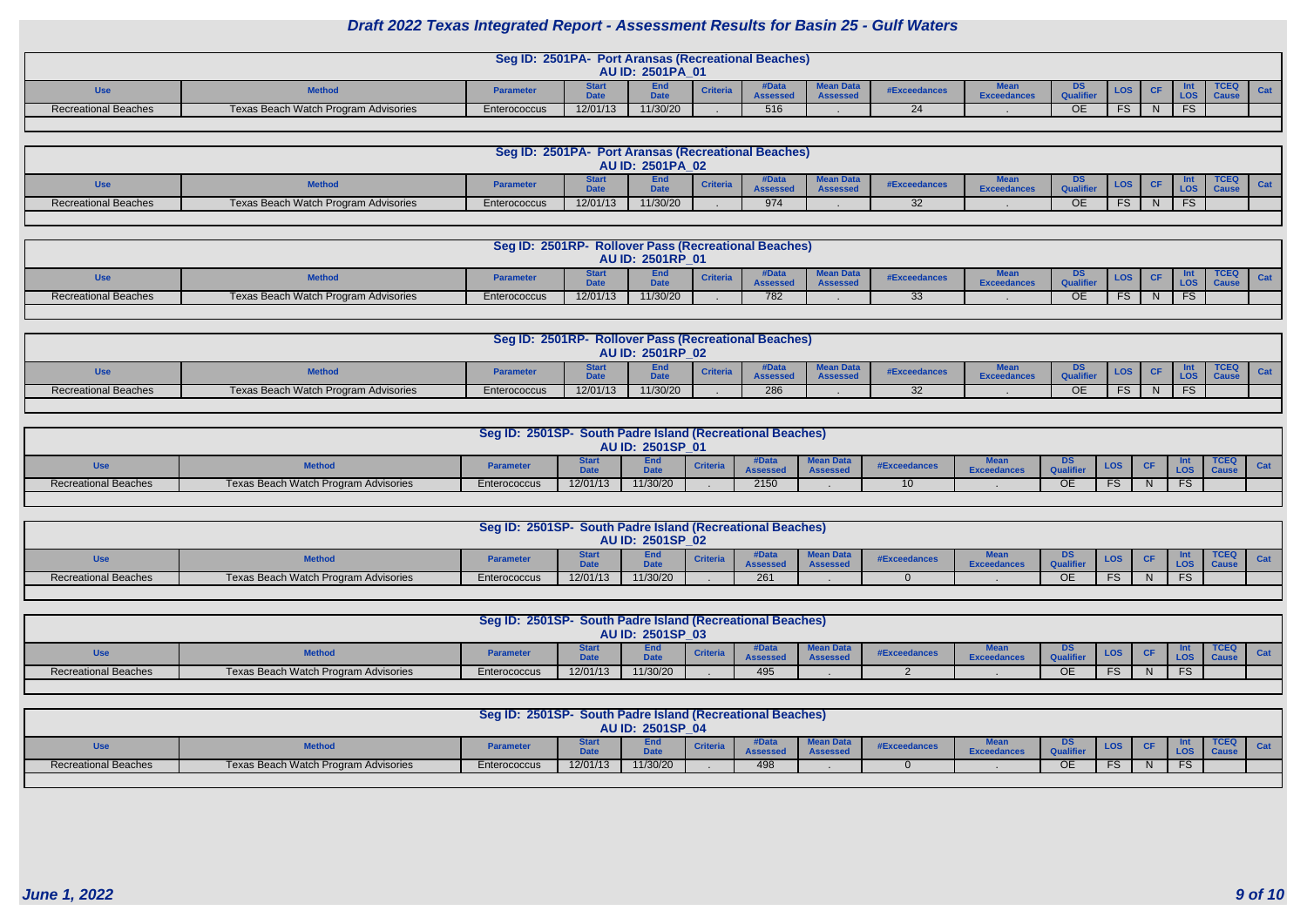|                             |                                      | Seg ID: 2501PA- Port Aransas (Recreational Beaches) |          | <b>AU ID: 2501PA 01</b>   |               |                              |              |                   |           |           |    |    |             |  |
|-----------------------------|--------------------------------------|-----------------------------------------------------|----------|---------------------------|---------------|------------------------------|--------------|-------------------|-----------|-----------|----|----|-------------|--|
|                             | <b>Method</b>                        | <b>Parameter</b>                                    | Pau      | ---<br>ENG<br><b>1.1.</b> | <b>\ssess</b> | Mean Data<br><b>Assessed</b> | #Exceedances | <b>Exceedance</b> | Qualifier | LOS       | CF |    | <b>TCEQ</b> |  |
| <b>Recreational Beaches</b> | Texas Beach Watch Program Advisories | Enterococcus                                        | 12/01/13 | 11/30/20                  | 516           |                              |              |                   | <b>OE</b> | <b>FS</b> | N  | FS |             |  |
|                             |                                      |                                                     |          |                           |               |                              |              |                   |           |           |    |    |             |  |

|                             |                                      | Seg ID: 2501PA- Port Aransas (Recreational Beaches) |                    |                         |                 |             |                              |                     |                    |                        |            |            |    |  |
|-----------------------------|--------------------------------------|-----------------------------------------------------|--------------------|-------------------------|-----------------|-------------|------------------------------|---------------------|--------------------|------------------------|------------|------------|----|--|
|                             |                                      |                                                     |                    | <b>AU ID: 2501PA 02</b> |                 |             |                              |                     |                    |                        |            |            |    |  |
| <b>Use</b>                  | <b>Method</b>                        | Paramete                                            | <b>1.1.</b><br>Pau | Data                    | <b>Criteria</b> | $A - 2 - 2$ | <b>Mean Data</b><br>Assessed | <b>#Exceedances</b> | <b>Exceedance.</b> | D9.<br>Qualifier       | <b>LOS</b> | <b>CF</b>  |    |  |
| <b>Recreational Beaches</b> | Texas Beach Watch Program Advisories | Enterococcus                                        | 12/01/13           | 11/30/20                |                 | 974         |                              |                     |                    | $\sim$ $\sim$<br>∣ ) ⊦ | <b>FS</b>  | NL.<br>1 V | FS |  |
|                             |                                      |                                                     |                    |                         |                 |             |                              |                     |                    |                        |            |            |    |  |

|                             |                                      | Seg ID: 2501RP- Rollover Pass (Recreational Beaches) |          |                         |     |                    |                     |                   |             |      |           |     |             |
|-----------------------------|--------------------------------------|------------------------------------------------------|----------|-------------------------|-----|--------------------|---------------------|-------------------|-------------|------|-----------|-----|-------------|
|                             |                                      |                                                      |          | <b>AU ID: 2501RP_01</b> |     |                    |                     |                   |             |      |           |     |             |
|                             | <b>Method</b>                        | <b>Parameter</b>                                     | .        | <b>1.1.</b>             |     | an Dat<br>Assessed | <b>#Exceedances</b> | <b>Exceedance</b> | $-1000 - 1$ | LOS. | <b>CF</b> |     | <b>TCEQ</b> |
| <b>Recreational Beaches</b> | Texas Beach Watch Program Advisories | Enterococcus                                         | 12/01/13 | 11/30/20                | 782 |                    |                     |                   | ОE          | FS.  | N         | FS. |             |

|                             |                                      | Seg ID: 2501RP- Rollover Pass (Recreational Beaches) |          | <b>AU ID: 2501RP_02</b> |               |     |                              |                     |       |                        |            |            |           |             |  |
|-----------------------------|--------------------------------------|------------------------------------------------------|----------|-------------------------|---------------|-----|------------------------------|---------------------|-------|------------------------|------------|------------|-----------|-------------|--|
| Use                         | <b>Method</b>                        | Paramete                                             | .        | <b>DALL</b>             | <b>Criter</b> |     | <b>Mean Data</b><br>Assessec | <b>#Exceedances</b> | Ехсее | <u>טט</u><br>Qualifier | <b>LOS</b> |            |           | <b>TCEQ</b> |  |
| <b>Recreational Beaches</b> | Texas Beach Watch Program Advisories | Enterococcus                                         | 12/01/13 | 11/30/20                |               | 286 |                              | ◡▵                  |       | <b>OE</b>              | <b>FS</b>  | -ND<br>. . | <b>FS</b> |             |  |

|                      |                                      | Seg ID: 2501SP- South Padre Island (Recreational Beaches) |             |                  |                 |                          |              |                    |                        |            |  |  |
|----------------------|--------------------------------------|-----------------------------------------------------------|-------------|------------------|-----------------|--------------------------|--------------|--------------------|------------------------|------------|--|--|
|                      |                                      |                                                           |             | AU ID: 2501SP 01 |                 |                          |              |                    |                        |            |  |  |
| <b>Use</b>           | <b>Method</b>                        | Paramete                                                  | <b>Date</b> | <b>D.L.</b>      | <b>Criteria</b> | 0.0000<br><b>LIANDRA</b> | #Exceedances | <b>Exceedances</b> | DS<br><b>Qualifier</b> | <b>LOS</b> |  |  |
| Recreational Beaches | Texas Beach Watch Program Advisories | Enterococcus                                              | 12/01/13    | 11/30/20         |                 | 2150                     |              |                    | OE                     |            |  |  |
|                      |                                      |                                                           |             |                  |                 |                          |              |                    |                        |            |  |  |

|                             |                                      | Seg ID: 2501SP- South Padre Island (Recreational Beaches) |             |                  |                 |                  |          |                     |                    |                        |            |          |  |
|-----------------------------|--------------------------------------|-----------------------------------------------------------|-------------|------------------|-----------------|------------------|----------|---------------------|--------------------|------------------------|------------|----------|--|
|                             |                                      |                                                           |             | AU ID: 2501SP 02 |                 |                  |          |                     |                    |                        |            |          |  |
| <b>Use</b>                  | <b>Methon</b>                        | Paramete                                                  | <b>Date</b> | <b>D.L.</b>      | <b>Criteria</b> | )ata<br>Accocood | ean Data | <b>#Exceedances</b> | <b>Exceedances</b> | DS<br><b>Qualifier</b> | <b>LOS</b> |          |  |
| <b>Recreational Beaches</b> | Texas Beach Watch Program Advisories | Enterococcus                                              | 12/01/13    | 11/30/20         |                 | 261              |          |                     |                    | <b>OE</b>              |            | $ \circ$ |  |

| Seg ID: 2501SP- South Padre Island (Recreational Beaches)<br>AU ID: 2501SP 03 |                                      |              |          |                    |                 |     |                 |              |  |           |            |  |             |  |
|-------------------------------------------------------------------------------|--------------------------------------|--------------|----------|--------------------|-----------------|-----|-----------------|--------------|--|-----------|------------|--|-------------|--|
| <b>Use</b>                                                                    | <b>Method</b>                        | Paramete     | .        | ENG<br><b>DALL</b> | <b>Criteria</b> |     | <b>ASSESSED</b> | #Exceedances |  | DS        | <b>LOS</b> |  | <b>TCEQ</b> |  |
| <b>Recreational Beaches</b>                                                   | Texas Beach Watch Program Advisories | Enterococcus | 12/01/13 | 11/30/20           |                 | 495 |                 |              |  | <b>OE</b> |            |  |             |  |
|                                                                               |                                      |              |          |                    |                 |     |                 |              |  |           |            |  |             |  |

| Seg ID: 2501SP- South Padre Island (Recreational Beaches)<br>AU ID: 2501SP 04 |                                      |                  |          |                                 |                 |     |                              |                     |                            |           |            |  |             |  |
|-------------------------------------------------------------------------------|--------------------------------------|------------------|----------|---------------------------------|-----------------|-----|------------------------------|---------------------|----------------------------|-----------|------------|--|-------------|--|
| <b>Use</b>                                                                    | <b>Method</b>                        | <b>Parameter</b> | $-1 -$   | End <sup>-</sup><br><b>Date</b> | <b>Criteria</b> |     | $MQ$ an Dat $TQ$<br>Assessed | <b>#Exceedances</b> | <b>Maa</b><br>ance<br>-xee | DS        | <b>LOS</b> |  | <b>TCEQ</b> |  |
| <b>Recreational Beaches</b>                                                   | Texas Beach Watch Program Advisories | Enterococcus     | 12/01/13 | 11/30/20                        |                 | 498 |                              |                     |                            | <b>OE</b> |            |  |             |  |
|                                                                               |                                      |                  |          |                                 |                 |     |                              |                     |                            |           |            |  |             |  |